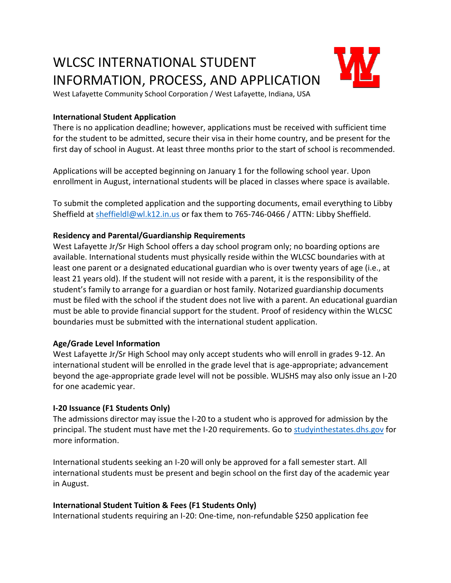# WLCSC INTERNATIONAL STUDENT INFORMATION, PROCESS, AND APPLICATION



West Lafayette Community School Corporation / West Lafayette, Indiana, USA

#### **International Student Application**

There is no application deadline; however, applications must be received with sufficient time for the student to be admitted, secure their visa in their home country, and be present for the first day of school in August. At least three months prior to the start of school is recommended.

Applications will be accepted beginning on January 1 for the following school year. Upon enrollment in August, international students will be placed in classes where space is available.

To submit the completed application and the supporting documents, email everything to Libby Sheffield at [sheffieldl@wl.k12.in.us](mailto:sheffieldl@wl.k12.in.us) or fax them to 765-746-0466 / ATTN: Libby Sheffield.

#### **Residency and Parental/Guardianship Requirements**

West Lafayette Jr/Sr High School offers a day school program only; no boarding options are available. International students must physically reside within the WLCSC boundaries with at least one parent or a designated educational guardian who is over twenty years of age (i.e., at least 21 years old). If the student will not reside with a parent, it is the responsibility of the student's family to arrange for a guardian or host family. Notarized guardianship documents must be filed with the school if the student does not live with a parent. An educational guardian must be able to provide financial support for the student. Proof of residency within the WLCSC boundaries must be submitted with the international student application.

#### **Age/Grade Level Information**

West Lafayette Jr/Sr High School may only accept students who will enroll in grades 9-12. An international student will be enrolled in the grade level that is age-appropriate; advancement beyond the age-appropriate grade level will not be possible. WLJSHS may also only issue an I-20 for one academic year.

#### **I-20 Issuance (F1 Students Only)**

The admissions director may issue the I-20 to a student who is approved for admission by the principal. The student must have met the I-20 requirements. Go to [studyinthestates.dhs.gov](https://studyinthestates.dhs.gov/) for more information.

International students seeking an I-20 will only be approved for a fall semester start. All international students must be present and begin school on the first day of the academic year in August.

#### **International Student Tuition & Fees (F1 Students Only)**

International students requiring an I-20: One-time, non-refundable \$250 application fee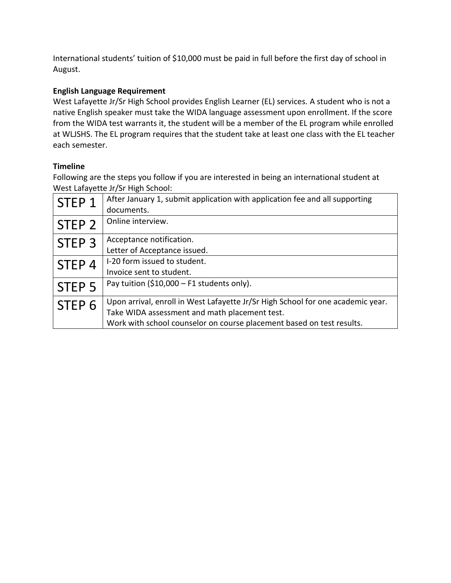International students' tuition of \$10,000 must be paid in full before the first day of school in August.

### **English Language Requirement**

West Lafayette Jr/Sr High School provides English Learner (EL) services. A student who is not a native English speaker must take the WIDA language assessment upon enrollment. If the score from the WIDA test warrants it, the student will be a member of the EL program while enrolled at WLJSHS. The EL program requires that the student take at least one class with the EL teacher each semester.

### **Timeline**

Following are the steps you follow if you are interested in being an international student at West Lafayette Jr/Sr High School:

| STEP 1            | After January 1, submit application with application fee and all supporting     |
|-------------------|---------------------------------------------------------------------------------|
|                   | documents.                                                                      |
| STEP <sub>2</sub> | Online interview.                                                               |
|                   |                                                                                 |
| STEP <sub>3</sub> | Acceptance notification.                                                        |
|                   | Letter of Acceptance issued.                                                    |
| STEP <sub>4</sub> | I-20 form issued to student.                                                    |
|                   | Invoice sent to student.                                                        |
| STEP <sub>5</sub> | Pay tuition (\$10,000 - F1 students only).                                      |
|                   |                                                                                 |
| STEP <sub>6</sub> | Upon arrival, enroll in West Lafayette Jr/Sr High School for one academic year. |
|                   | Take WIDA assessment and math placement test.                                   |
|                   | Work with school counselor on course placement based on test results.           |
|                   |                                                                                 |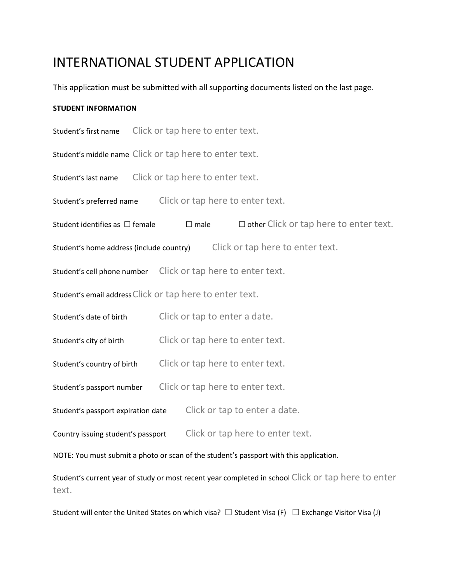## INTERNATIONAL STUDENT APPLICATION

This application must be submitted with all supporting documents listed on the last page.

#### **STUDENT INFORMATION**

Student's first name Click or tap here to enter text.

Student's middle name Click or tap here to enter text.

Student's last name Click or tap here to enter text.

Student's preferred name Click or tap here to enter text.

Student identifies as  $\Box$  female  $\Box$  male  $\Box$  other Click or tap here to enter text.

Student's home address (include country) Click or tap here to enter text.

Student's cell phone number Click or tap here to enter text.

Student's email address Click or tap here to enter text.

Student's date of birth Click or tap to enter a date.

Student's city of birth Click or tap here to enter text.

Student's country of birth Click or tap here to enter text.

Student's passport number Click or tap here to enter text.

Student's passport expiration date Click or tap to enter a date.

Country issuing student's passport Click or tap here to enter text.

NOTE: You must submit a photo or scan of the student's passport with this application.

Student's current year of study or most recent year completed in school Click or tap here to enter text.

Student will enter the United States on which visa?  $\Box$  Student Visa (F)  $\Box$  Exchange Visitor Visa (J)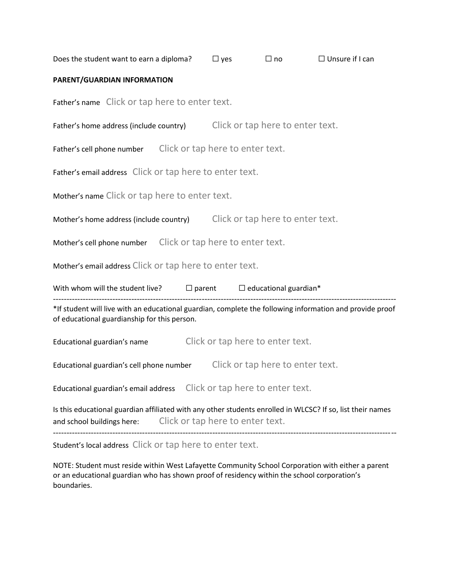|                                                                                                                                                                           |                                                | Does the student want to earn a diploma? $\Box$ yes |                                                                       | $\Box$ no $\Box$                                                                                   | $\Box$ Unsure if I can |  |  |  |
|---------------------------------------------------------------------------------------------------------------------------------------------------------------------------|------------------------------------------------|-----------------------------------------------------|-----------------------------------------------------------------------|----------------------------------------------------------------------------------------------------|------------------------|--|--|--|
| PARENT/GUARDIAN INFORMATION                                                                                                                                               |                                                |                                                     |                                                                       |                                                                                                    |                        |  |  |  |
|                                                                                                                                                                           | Father's name Click or tap here to enter text. |                                                     |                                                                       |                                                                                                    |                        |  |  |  |
| Father's home address (include country) Click or tap here to enter text.                                                                                                  |                                                |                                                     |                                                                       |                                                                                                    |                        |  |  |  |
| Father's cell phone number Click or tap here to enter text.                                                                                                               |                                                |                                                     |                                                                       |                                                                                                    |                        |  |  |  |
| Father's email address Click or tap here to enter text.                                                                                                                   |                                                |                                                     |                                                                       |                                                                                                    |                        |  |  |  |
| Mother's name Click or tap here to enter text.                                                                                                                            |                                                |                                                     |                                                                       |                                                                                                    |                        |  |  |  |
| Mother's home address (include country) Click or tap here to enter text.                                                                                                  |                                                |                                                     |                                                                       |                                                                                                    |                        |  |  |  |
| Mother's cell phone number Click or tap here to enter text.                                                                                                               |                                                |                                                     |                                                                       |                                                                                                    |                        |  |  |  |
| Mother's email address Click or tap here to enter text.                                                                                                                   |                                                |                                                     |                                                                       |                                                                                                    |                        |  |  |  |
|                                                                                                                                                                           |                                                |                                                     |                                                                       | With whom will the student live? $\Box$ parent $\Box$ educational guardian*<br>------------------- |                        |  |  |  |
| *If student will live with an educational guardian, complete the following information and provide proof<br>of educational guardianship for this person.                  |                                                |                                                     |                                                                       |                                                                                                    |                        |  |  |  |
|                                                                                                                                                                           | Educational guardian's name                    |                                                     | Click or tap here to enter text.                                      |                                                                                                    |                        |  |  |  |
| Click or tap here to enter text.<br>Educational guardian's cell phone number                                                                                              |                                                |                                                     |                                                                       |                                                                                                    |                        |  |  |  |
|                                                                                                                                                                           |                                                |                                                     | Educational guardian's email address Click or tap here to enter text. |                                                                                                    |                        |  |  |  |
| Is this educational guardian affiliated with any other students enrolled in WLCSC? If so, list their names<br>and school buildings here: Click or tap here to enter text. |                                                |                                                     |                                                                       |                                                                                                    |                        |  |  |  |
| Student's local address Click or tap here to enter text.                                                                                                                  |                                                |                                                     |                                                                       |                                                                                                    |                        |  |  |  |

NOTE: Student must reside within West Lafayette Community School Corporation with either a parent or an educational guardian who has shown proof of residency within the school corporation's boundaries.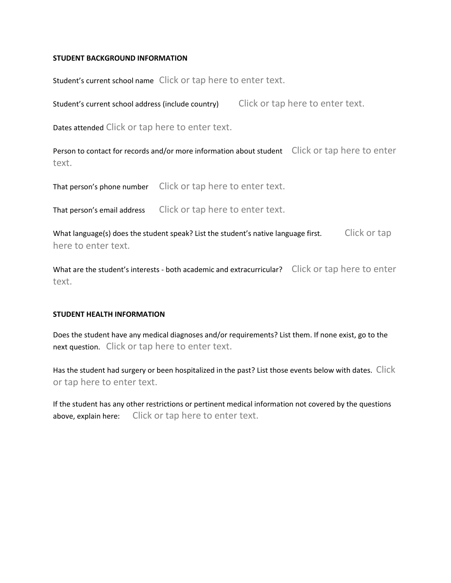#### **STUDENT BACKGROUND INFORMATION**

Student's current school name Click or tap here to enter text.

Student's current school address (include country) Click or tap here to enter text.

Dates attended Click or tap here to enter text.

Person to contact for records and/or more information about student Click or tap here to enter text.

That person's phone number Click or tap here to enter text.

That person's email address Click or tap here to enter text.

What language(s) does the student speak? List the student's native language first. Click or tap here to enter text.

What are the student's interests - both academic and extracurricular? Click or tap here to enter text.

#### **STUDENT HEALTH INFORMATION**

Does the student have any medical diagnoses and/or requirements? List them. If none exist, go to the next question. Click or tap here to enter text.

Has the student had surgery or been hospitalized in the past? List those events below with dates. Click or tap here to enter text.

If the student has any other restrictions or pertinent medical information not covered by the questions above, explain here: Click or tap here to enter text.